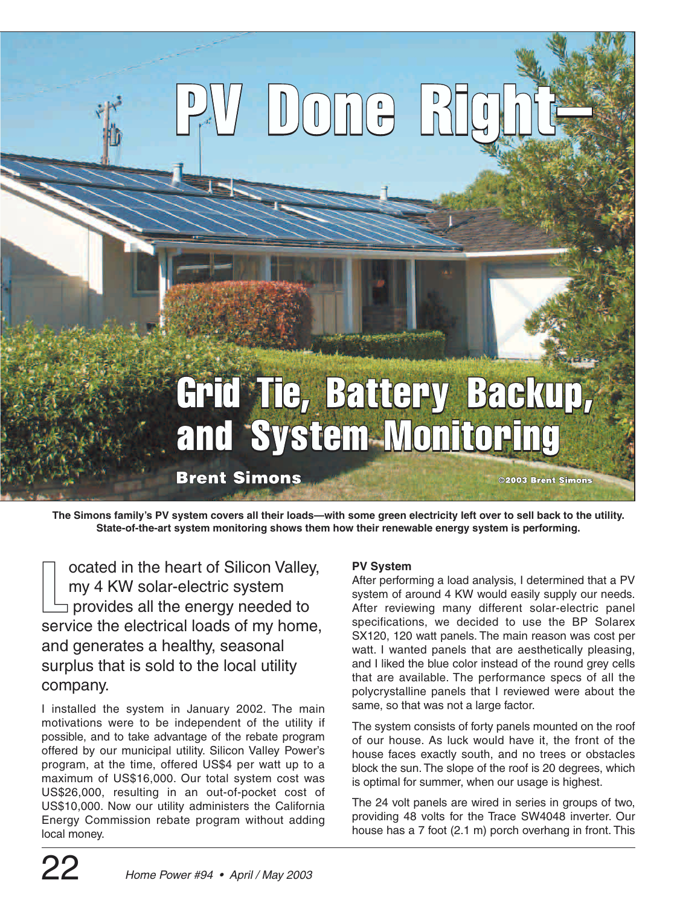# 

# Grid Tie, Battery Backup, and System-Monitoring

**Brent Simons** 

©2003 Brent Simons

**The Simons family's PV system covers all their loads—with some green electricity left over to sell back to the utility. State-of-the-art system monitoring shows them how their renewable energy system is performing.**

 $\Box$ ocated in the heart of Silicon Valley, my 4 KW solar-electric system provides all the energy needed to service the electrical loads of my home, and generates a healthy, seasonal surplus that is sold to the local utility company.

I installed the system in January 2002. The main motivations were to be independent of the utility if possible, and to take advantage of the rebate program offered by our municipal utility. Silicon Valley Power's program, at the time, offered US\$4 per watt up to a maximum of US\$16,000. Our total system cost was US\$26,000, resulting in an out-of-pocket cost of US\$10,000. Now our utility administers the California Energy Commission rebate program without adding local money.

### **PV System**

After performing a load analysis, I determined that a PV system of around 4 KW would easily supply our needs. After reviewing many different solar-electric panel specifications, we decided to use the BP Solarex SX120, 120 watt panels. The main reason was cost per watt. I wanted panels that are aesthetically pleasing, and I liked the blue color instead of the round grey cells that are available. The performance specs of all the polycrystalline panels that I reviewed were about the same, so that was not a large factor.

The system consists of forty panels mounted on the roof of our house. As luck would have it, the front of the house faces exactly south, and no trees or obstacles block the sun. The slope of the roof is 20 degrees, which is optimal for summer, when our usage is highest.

The 24 volt panels are wired in series in groups of two, providing 48 volts for the Trace SW4048 inverter. Our house has a 7 foot (2.1 m) porch overhang in front. This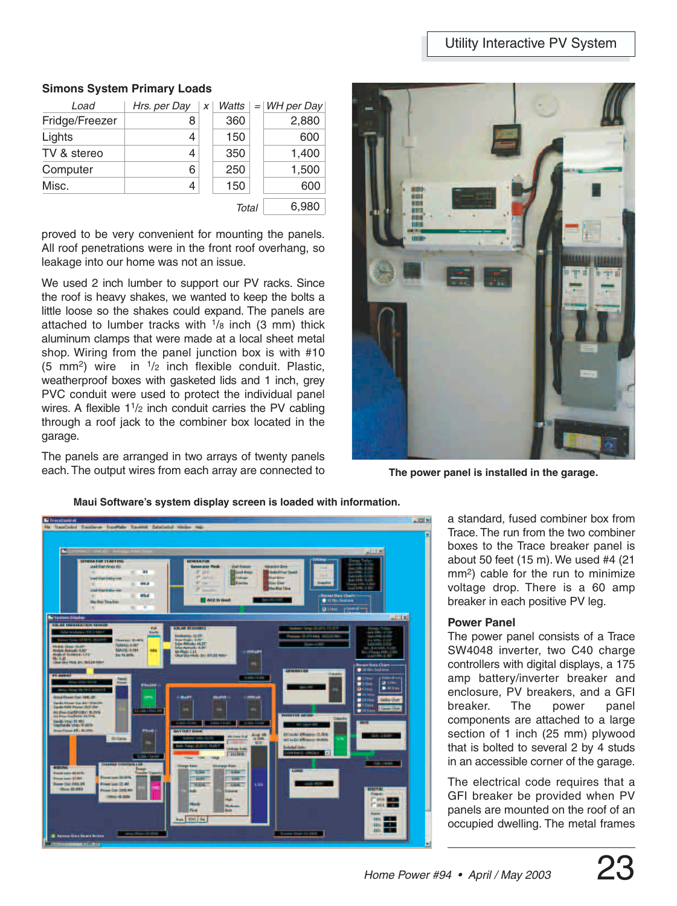#### **Simons System Primary Loads**

|                          | <b>Simons System Primary Loads</b> |   |       |     |            |
|--------------------------|------------------------------------|---|-------|-----|------------|
|                          |                                    |   | Watts | $=$ | WH per Day |
| Load                     | Hrs. per Day                       | X |       |     | 2,880      |
|                          | 8                                  |   | 360   |     |            |
| Fridge/Freezer<br>Lights | 4                                  |   | 150   |     | 600        |
|                          | 4                                  |   | 350   |     | 1,400      |
| TV & stereo<br>Computer  | 6                                  |   | 250   |     | 1,500      |
| Misc.                    | 4                                  |   | 150   |     | 600        |

proved to be very convenient for mounting the panels. All roof penetrations were in the front roof overhang, so leakage into our home was not an issue.

We used 2 inch lumber to support our PV racks. Since the roof is heavy shakes, we wanted to keep the bolts a little loose so the shakes could expand. The panels are attached to lumber tracks with  $\frac{1}{8}$  inch (3 mm) thick aluminum clamps that were made at a local sheet metal shop. Wiring from the panel junction box is with #10 (5 mm<sup>2</sup>) wire in  $\frac{1}{2}$  inch flexible conduit. Plastic, weatherproof boxes with gasketed lids and 1 inch, grey PVC conduit were used to protect the individual panel wires. A flexible 11/2 inch conduit carries the PV cabling through a roof jack to the combiner box located in the garage.

The panels are arranged in two arrays of twenty panels each. The output wires from each array are connected to



**The power panel is installed in the garage.**





a standard, fused combiner box from Trace. The run from the two combiner boxes to the Trace breaker panel is about 50 feet (15 m). We used #4 (21 mm2) cable for the run to minimize voltage drop. There is a 60 amp breaker in each positive PV leg.

#### **Power Panel**

The power panel consists of a Trace SW4048 inverter, two C40 charge controllers with digital displays, a 175 amp battery/inverter breaker and enclosure, PV breakers, and a GFI breaker. The power panel components are attached to a large section of 1 inch (25 mm) plywood that is bolted to several 2 by 4 studs in an accessible corner of the garage.

The electrical code requires that a GFI breaker be provided when PV panels are mounted on the roof of an occupied dwelling. The metal frames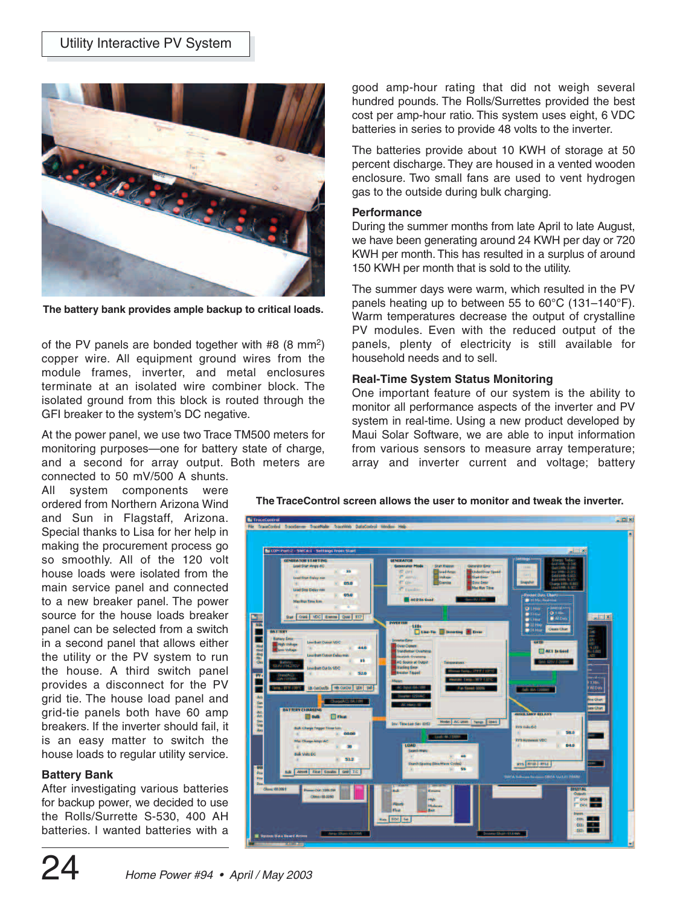

**The battery bank provides ample backup to critical loads.**

of the PV panels are bonded together with #8 (8 mm2) copper wire. All equipment ground wires from the module frames, inverter, and metal enclosures terminate at an isolated wire combiner block. The isolated ground from this block is routed through the GFI breaker to the system's DC negative.

At the power panel, we use two Trace TM500 meters for monitoring purposes—one for battery state of charge, and a second for array output. Both meters are

connected to 50 mV/500 A shunts. All system components were ordered from Northern Arizona Wind and Sun in Flagstaff, Arizona. Special thanks to Lisa for her help in making the procurement process go so smoothly. All of the 120 volt house loads were isolated from the main service panel and connected to a new breaker panel. The power source for the house loads breaker panel can be selected from a switch in a second panel that allows either the utility or the PV system to run the house. A third switch panel provides a disconnect for the PV grid tie. The house load panel and grid-tie panels both have 60 amp breakers. If the inverter should fail, it is an easy matter to switch the house loads to regular utility service.

#### **Battery Bank**

After investigating various batteries for backup power, we decided to use the Rolls/Surrette S-530, 400 AH batteries. I wanted batteries with a good amp-hour rating that did not weigh several hundred pounds. The Rolls/Surrettes provided the best cost per amp-hour ratio. This system uses eight, 6 VDC batteries in series to provide 48 volts to the inverter.

The batteries provide about 10 KWH of storage at 50 percent discharge. They are housed in a vented wooden enclosure. Two small fans are used to vent hydrogen gas to the outside during bulk charging.

#### **Performance**

During the summer months from late April to late August, we have been generating around 24 KWH per day or 720 KWH per month. This has resulted in a surplus of around 150 KWH per month that is sold to the utility.

The summer days were warm, which resulted in the PV panels heating up to between 55 to 60°C (131–140°F). Warm temperatures decrease the output of crystalline PV modules. Even with the reduced output of the panels, plenty of electricity is still available for household needs and to sell.

#### **Real-Time System Status Monitoring**

One important feature of our system is the ability to monitor all performance aspects of the inverter and PV system in real-time. Using a new product developed by Maui Solar Software, we are able to input information from various sensors to measure array temperature; array and inverter current and voltage; battery

**The TraceControl screen allows the user to monitor and tweak the inverter.**

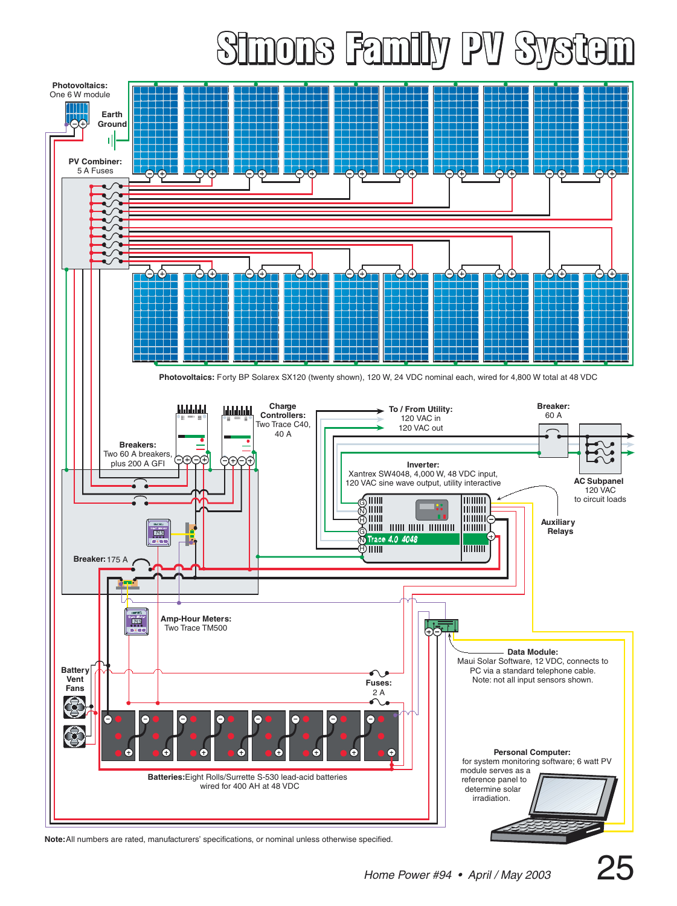## 1016 Fami  $\frac{1}{2}$  $\mathbb N$



**Note:** All numbers are rated, manufacturers' specifications, or nominal unless otherwise specified.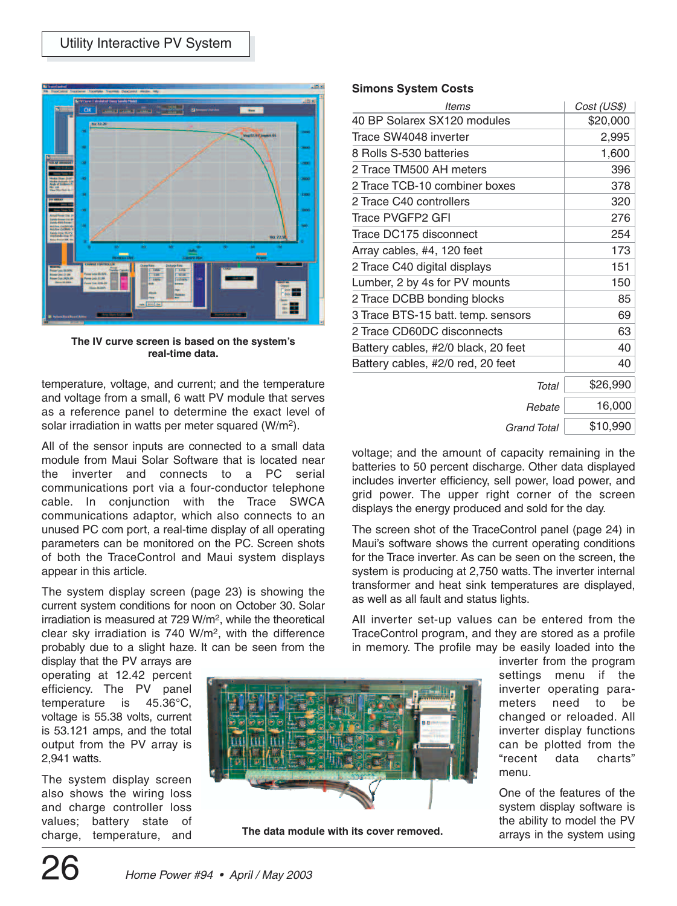

**The IV curve screen is based on the system's real-time data.**

temperature, voltage, and current; and the temperature and voltage from a small, 6 watt PV module that serves as a reference panel to determine the exact level of solar irradiation in watts per meter squared (W/m2).

All of the sensor inputs are connected to a small data module from Maui Solar Software that is located near the inverter and connects to a PC serial communications port via a four-conductor telephone cable. In conjunction with the Trace SWCA communications adaptor, which also connects to an unused PC com port, a real-time display of all operating parameters can be monitored on the PC. Screen shots of both the TraceControl and Maui system displays appear in this article.

The system display screen (page 23) is showing the current system conditions for noon on October 30. Solar irradiation is measured at 729 W/m2, while the theoretical clear sky irradiation is 740 W/m2, with the difference probably due to a slight haze. It can be seen from the

display that the PV arrays are operating at 12.42 percent efficiency. The PV panel temperature is 45.36°C, voltage is 55.38 volts, current is 53.121 amps, and the total output from the PV array is 2,941 watts.

The system display screen also shows the wiring loss and charge controller loss values; battery state of charge, temperature, and



**The data module with its cover removed.**

#### **Simons System Costs**

| <b>Simons System Costs</b>          |             |
|-------------------------------------|-------------|
| ltems                               | Cost (US\$) |
| 40 BP Solarex SX120 modules         | \$20,000    |
| Trace SW4048 inverter               | 2,995       |
| 8 Rolls S-530 batteries             | 1,600       |
| 2 Trace TM500 AH meters             | 396         |
| 2 Trace TCB-10 combiner boxes       | 378         |
| 2 Trace C40 controllers             | 320         |
| <b>Trace PVGFP2 GFI</b>             | 276         |
| Trace DC175 disconnect              | 254         |
| Array cables, #4, 120 feet          | 173         |
| 2 Trace C40 digital displays        | 151         |
| Lumber, 2 by 4s for PV mounts       | 150         |
| 2 Trace DCBB bonding blocks         | 85          |
| 3 Trace BTS-15 batt. temp. sensors  | 69          |
| 2 Trace CD60DC disconnects          | 63          |
| Battery cables, #2/0 black, 20 feet | 40          |
| Battery cables, #2/0 red, 20 feet   | 40          |
| Total                               | \$26,990    |
| Rebate                              | 16,000      |
| Grand Total                         | \$10,990    |

voltage; and the amount of capacity remaining in the batteries to 50 percent discharge. Other data displayed includes inverter efficiency, sell power, load power, and grid power. The upper right corner of the screen displays the energy produced and sold for the day.

The screen shot of the TraceControl panel (page 24) in Maui's software shows the current operating conditions for the Trace inverter. As can be seen on the screen, the system is producing at 2,750 watts. The inverter internal transformer and heat sink temperatures are displayed, as well as all fault and status lights.

All inverter set-up values can be entered from the TraceControl program, and they are stored as a profile in memory. The profile may be easily loaded into the

> inverter from the program settings menu if the inverter operating parameters need to be changed or reloaded. All inverter display functions can be plotted from the "recent data charts" menu.

> One of the features of the system display software is the ability to model the PV arrays in the system using